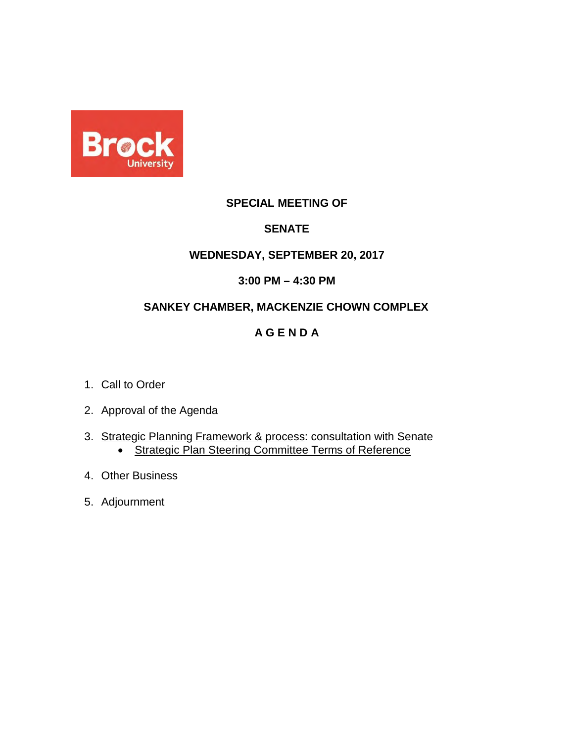

#### **SPECIAL MEETING OF**

#### **SENATE**

#### **WEDNESDAY, SEPTEMBER 20, 2017**

#### **3:00 PM – 4:30 PM**

#### **SANKEY CHAMBER, MACKENZIE CHOWN COMPLEX**

#### **A G E N D A**

- 1. Call to Order
- 2. Approval of the Agenda
- 3. [Strategic Planning Framework & process:](#page-1-0) consultation with Senate • [Strategic Plan Steering Committee](#page-16-0) Terms of Reference
- 4. Other Business
- 5. Adjournment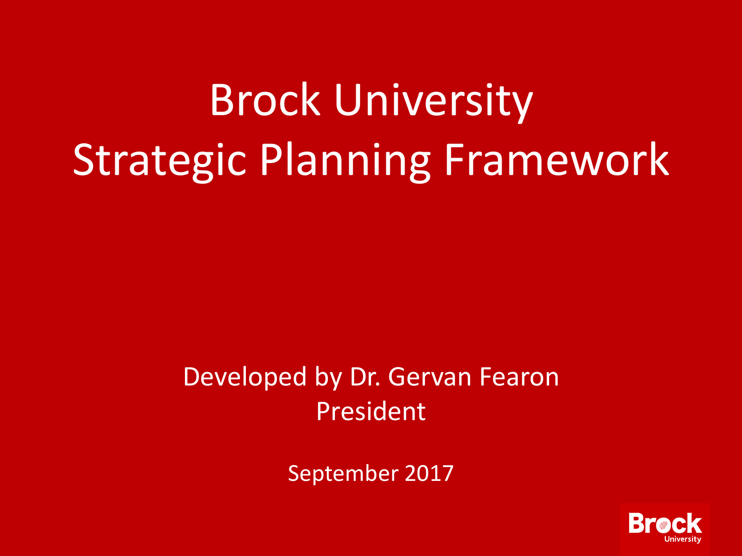# <span id="page-1-0"></span>Brock University Strategic Planning Framework

# Developed by Dr. Gervan Fearon President

September 2017

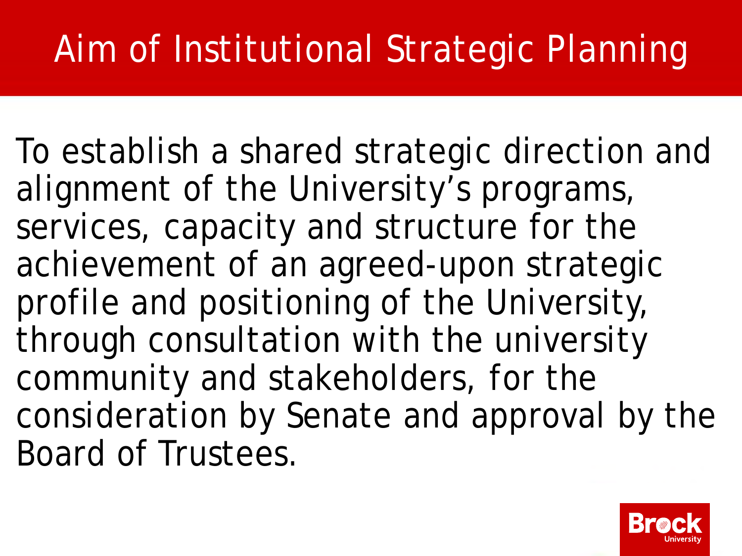# Aim of Institutional Strategic Planning

To establish a shared strategic direction and alignment of the University's programs, services, capacity and structure for the achievement of an agreed-upon strategic profile and positioning of the University, through consultation with the university community and stakeholders, for the consideration by Senate and approval by the Board of Trustees.

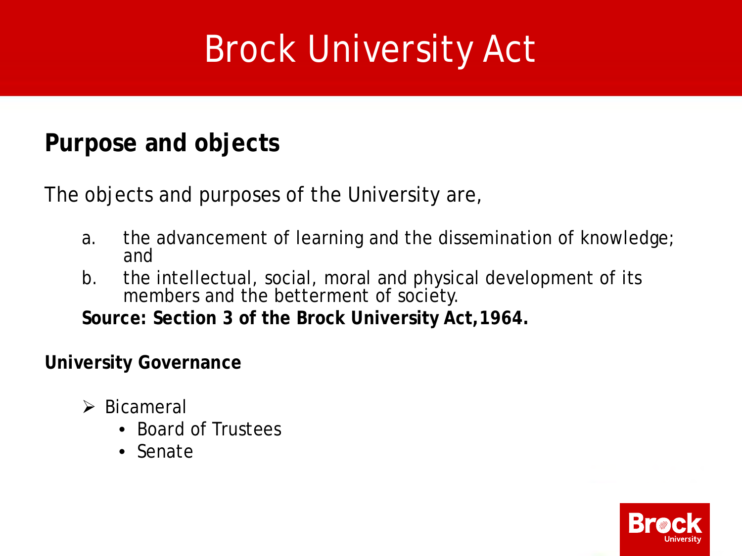# Brock University Act

## **Purpose and objects**

The objects and purposes of the University are,

- a. the advancement of learning and the dissemination of knowledge; and
- b. the intellectual, social, moral and physical development of its members and the betterment of society.

**Source: Section 3 of the Brock University Act,1964.**

**University Governance**

- $\triangleright$  Bicameral
	- Board of Trustees
	- Senate

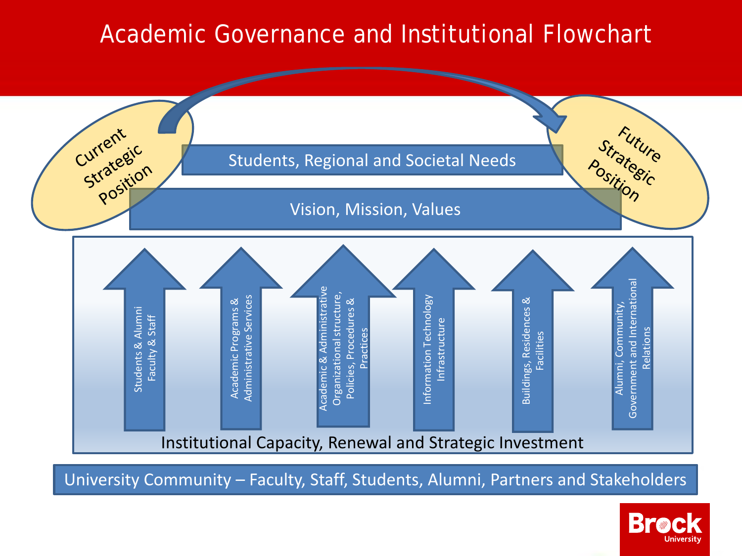# Academic Governance and Institutional Flowchart



University Community – Faculty, Staff, Students, Alumni, Partners and Stakeholders

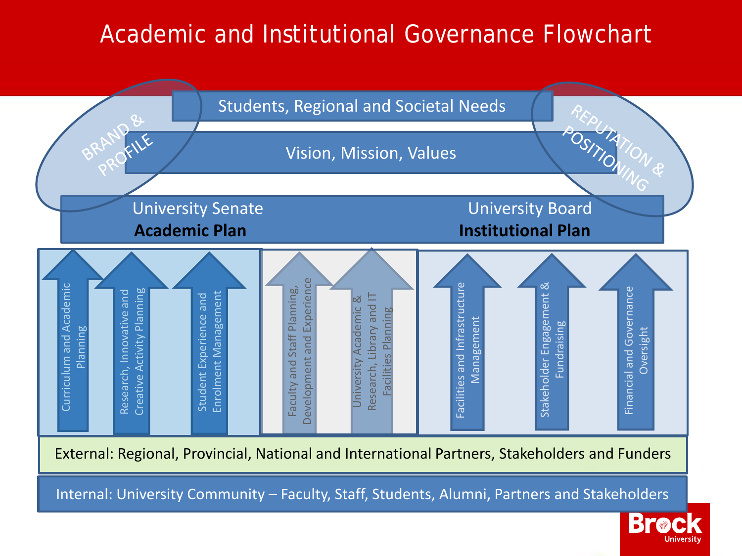## Academic and Institutional Governance Flowchart



Internal: University Community – Faculty, Staff, Students, Alumni, Partners and Stakeholders

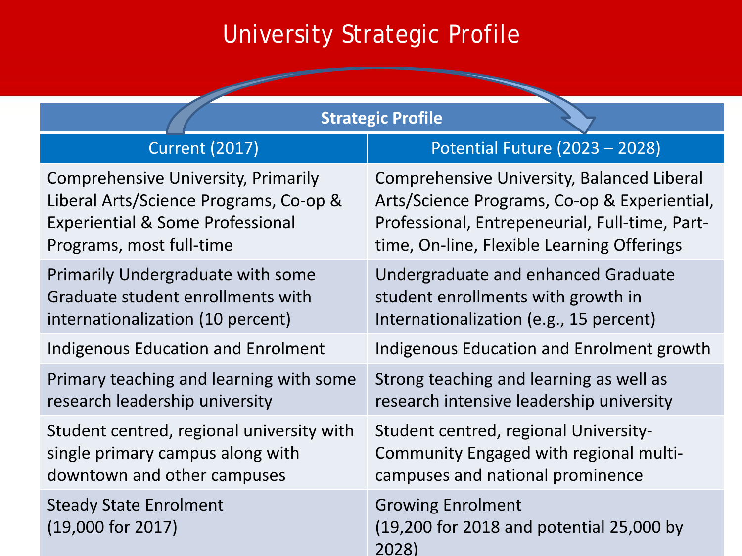# University Strategic Profile

| <b>Strategic Profile</b>                             |                                                                               |  |  |  |
|------------------------------------------------------|-------------------------------------------------------------------------------|--|--|--|
| <b>Current (2017)</b>                                | Potential Future (2023 - 2028)                                                |  |  |  |
| <b>Comprehensive University, Primarily</b>           | Comprehensive University, Balanced Liberal                                    |  |  |  |
| Liberal Arts/Science Programs, Co-op &               | Arts/Science Programs, Co-op & Experiential,                                  |  |  |  |
| <b>Experiential &amp; Some Professional</b>          | Professional, Entrepeneurial, Full-time, Part-                                |  |  |  |
| Programs, most full-time                             | time, On-line, Flexible Learning Offerings                                    |  |  |  |
| <b>Primarily Undergraduate with some</b>             | Undergraduate and enhanced Graduate                                           |  |  |  |
| Graduate student enrollments with                    | student enrollments with growth in                                            |  |  |  |
| internationalization (10 percent)                    | Internationalization (e.g., 15 percent)                                       |  |  |  |
| <b>Indigenous Education and Enrolment</b>            | Indigenous Education and Enrolment growth                                     |  |  |  |
| Primary teaching and learning with some              | Strong teaching and learning as well as                                       |  |  |  |
| research leadership university                       | research intensive leadership university                                      |  |  |  |
| Student centred, regional university with            | Student centred, regional University-                                         |  |  |  |
| single primary campus along with                     | Community Engaged with regional multi-                                        |  |  |  |
| downtown and other campuses                          | campuses and national prominence                                              |  |  |  |
| <b>Steady State Enrolment</b><br>$(19,000$ for 2017) | <b>Growing Enrolment</b><br>(19,200 for 2018 and potential 25,000 by<br>2028) |  |  |  |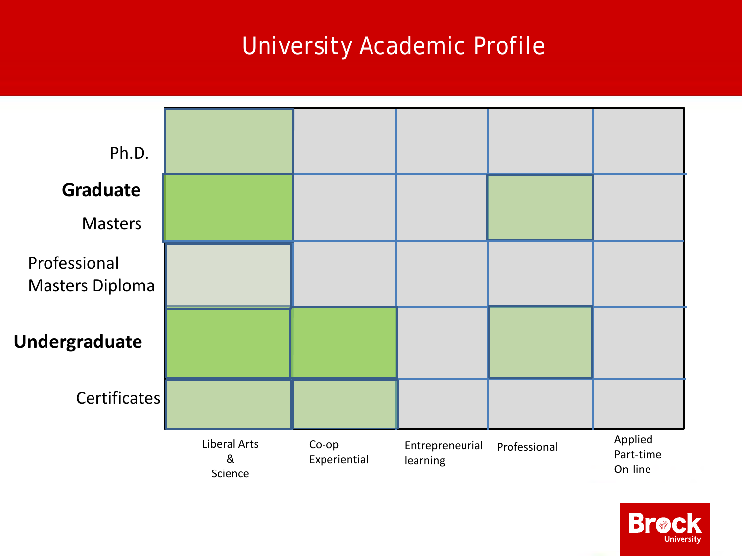# University Academic Profile



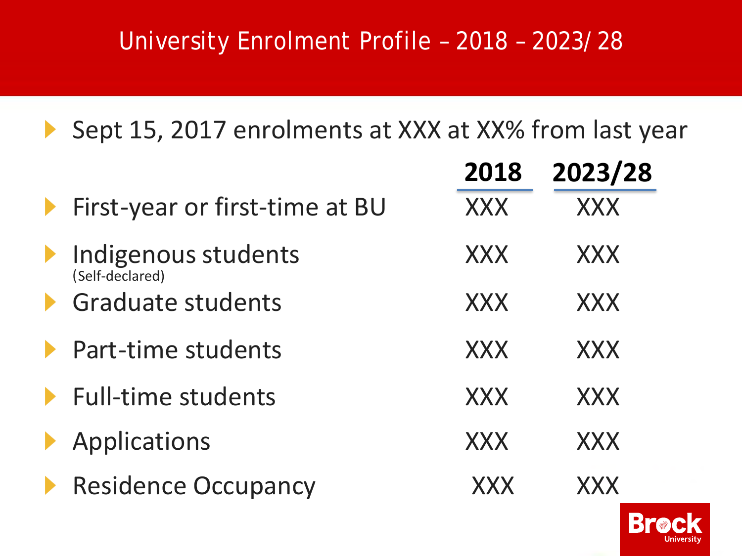# University Enrolment Profile – 2018 – 2023/28

Sept 15, 2017 enrolments at XXX at XX% from last year  $\blacktriangleright$ 

|                                        | 2018       | 2023/28    |
|----------------------------------------|------------|------------|
| First-year or first-time at BU         | <b>XXX</b> | <b>XXX</b> |
| Indigenous students<br>(Self-declared) | <b>XXX</b> | <b>XXX</b> |
| <b>Graduate students</b>               | <b>XXX</b> | <b>XXX</b> |
| Part-time students                     | <b>XXX</b> | <b>XXX</b> |
| <b>Full-time students</b>              | <b>XXX</b> | <b>XXX</b> |
| Applications                           | <b>XXX</b> | <b>XXX</b> |
| <b>Residence Occupancy</b>             | XXX        | <b>XXX</b> |

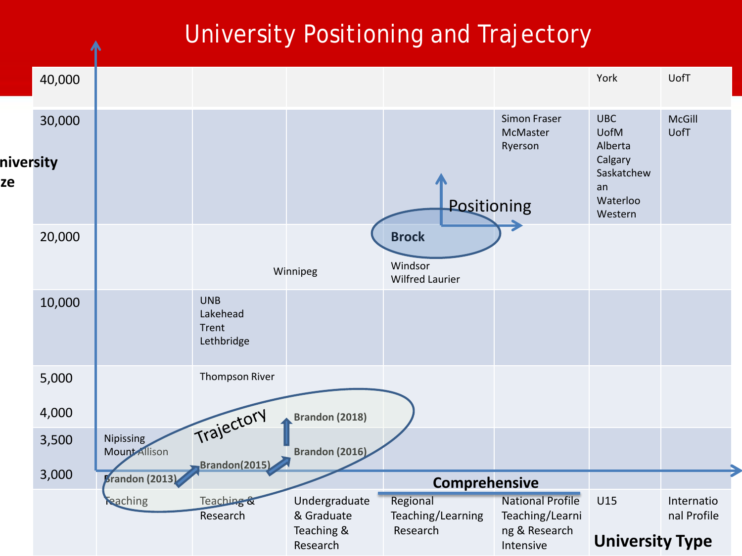# University Positioning and Trajectory

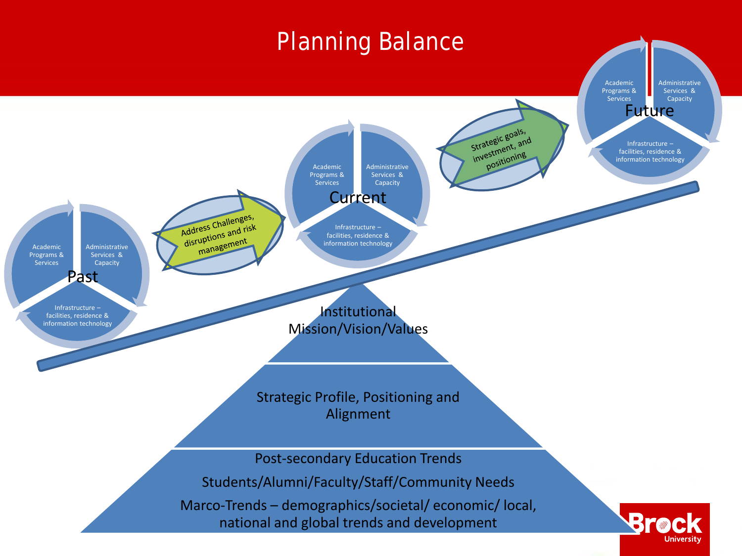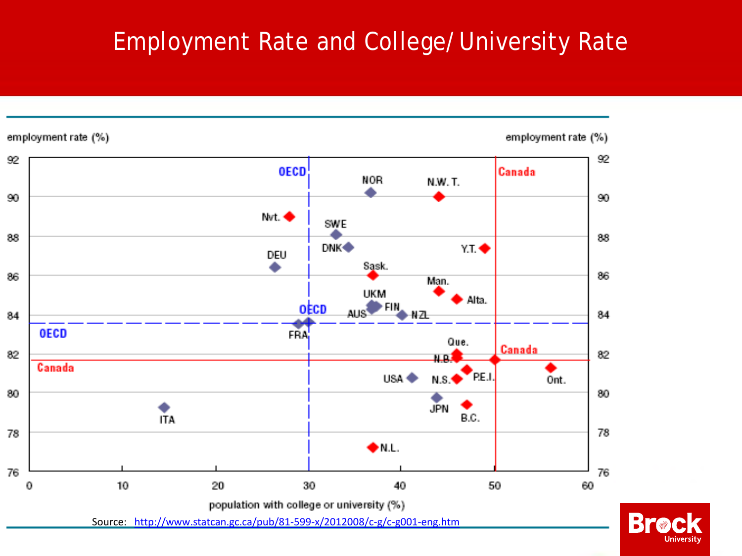# Employment Rate and College/University Rate



**Brac** University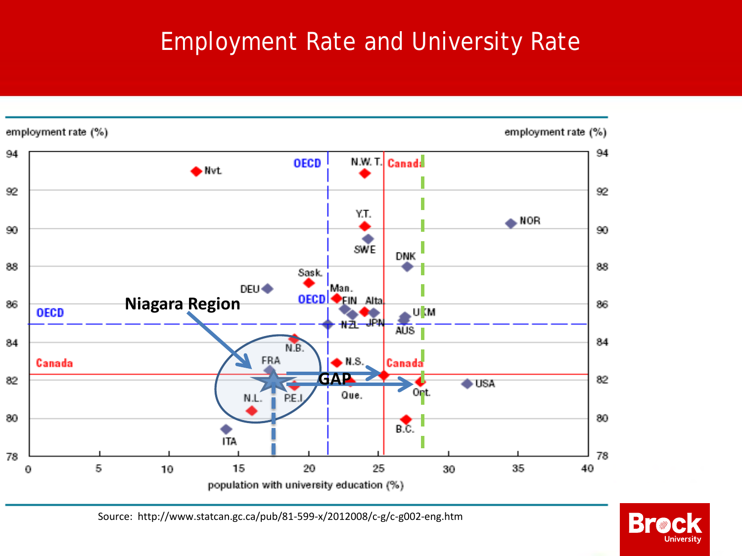# Employment Rate and University Rate



Source: http://www.statcan.gc.ca/pub/81-599-x/2012008/c-g/c-g002-eng.htm

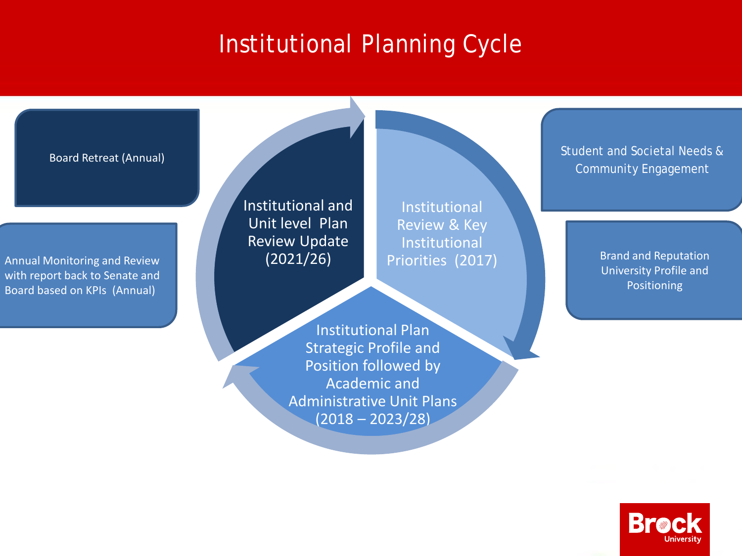# Institutional Planning Cycle



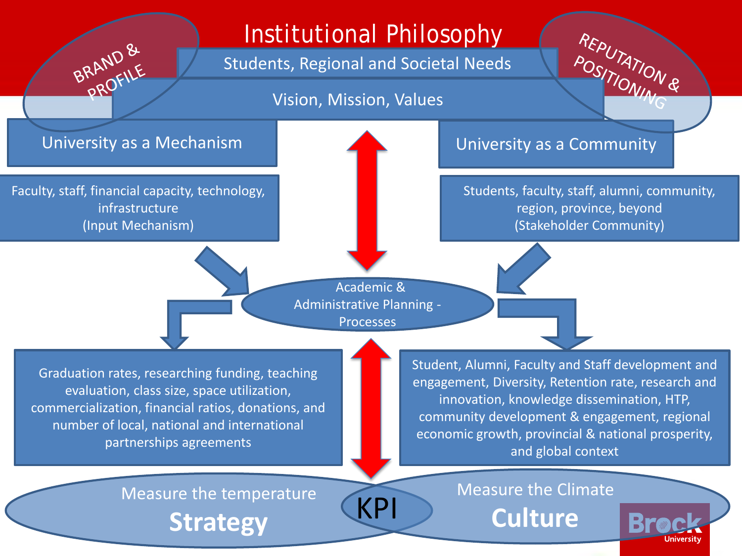## Institutional Philosophy

Students, Regional and Societal Needs

Vision, Mission, Values

BRAND &

Faculty, staff, financial capacity, technology, infrastructure (Input Mechanism)

#### University as a Mechanism District of the University as a Community

Students, faculty, staff, alumni, community, region, province, beyond (Stakeholder Community)

REPUTATION &

Academic & Administrative Planning - Processes

Graduation rates, researching funding, teaching evaluation, class size, space utilization, commercialization, financial ratios, donations, and number of local, national and international partnerships agreements

Student, Alumni, Faculty and Staff development and engagement, Diversity, Retention rate, research and innovation, knowledge dissemination, HTP, community development & engagement, regional economic growth, provincial & national prosperity, and global context

Measure the temperature **Strategy**

Measure the Climate

KPI **Culture**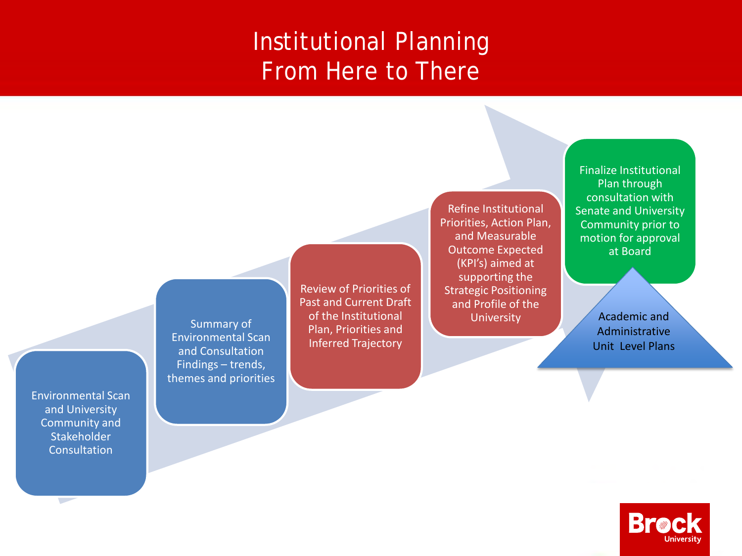### Institutional Planning From Here to There

Summary of Environmental Scan and Consultation Findings – trends, themes and priorities

Environmental Scan and University Community and Stakeholder Consultation

 $\sim$ 

Review of Priorities of Past and Current Draft of the Institutional Plan, Priorities and Inferred Trajectory

Refine Institutional Priorities, Action Plan, and Measurable Outcome Expected (KPI's) aimed at supporting the Strategic Positioning and Profile of the University

Finalize Institutional Plan through consultation with **Senate and University** Community prior to motion for approval at Board

> Academic and Administrative Unit Level Plans

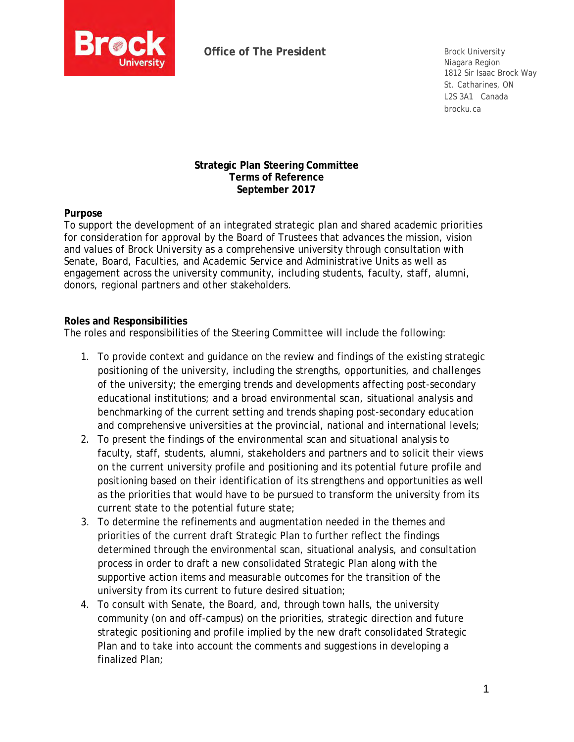<span id="page-16-0"></span>

Niagara Region 1812 Sir Isaac Brock Way St. Catharines, ON L2S 3A1 Canada brocku.ca

#### **Strategic Plan Steering Committee Terms of Reference September 2017**

**Purpose**

To support the development of an integrated strategic plan and shared academic priorities for consideration for approval by the Board of Trustees that advances the mission, vision and values of Brock University as a comprehensive university through consultation with Senate, Board, Faculties, and Academic Service and Administrative Units as well as engagement across the university community, including students, faculty, staff, alumni, donors, regional partners and other stakeholders.

#### **Roles and Responsibilities**

The roles and responsibilities of the Steering Committee will include the following:

- 1. To provide context and guidance on the review and findings of the existing strategic positioning of the university, including the strengths, opportunities, and challenges of the university; the emerging trends and developments affecting post-secondary educational institutions; and a broad environmental scan, situational analysis and benchmarking of the current setting and trends shaping post-secondary education and comprehensive universities at the provincial, national and international levels;
- 2. To present the findings of the environmental scan and situational analysis to faculty, staff, students, alumni, stakeholders and partners and to solicit their views on the current university profile and positioning and its potential future profile and positioning based on their identification of its strengthens and opportunities as well as the priorities that would have to be pursued to transform the university from its current state to the potential future state;
- 3. To determine the refinements and augmentation needed in the themes and priorities of the current draft Strategic Plan to further reflect the findings determined through the environmental scan, situational analysis, and consultation process in order to draft a new consolidated Strategic Plan along with the supportive action items and measurable outcomes for the transition of the university from its current to future desired situation;
- 4. To consult with Senate, the Board, and, through town halls, the university community (on and off-campus) on the priorities, strategic direction and future strategic positioning and profile implied by the new draft consolidated Strategic Plan and to take into account the comments and suggestions in developing a finalized Plan;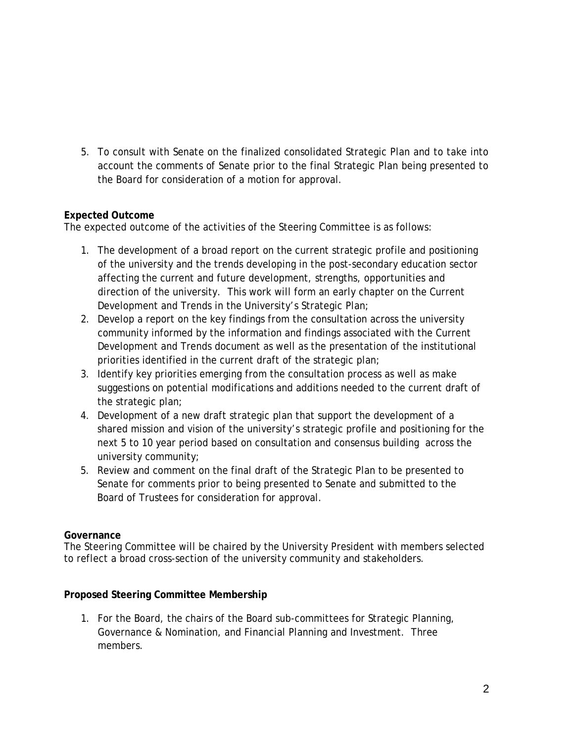5. To consult with Senate on the finalized consolidated Strategic Plan and to take into account the comments of Senate prior to the final Strategic Plan being presented to the Board for consideration of a motion for approval.

#### **Expected Outcome**

The expected outcome of the activities of the Steering Committee is as follows:

- 1. The development of a broad report on the current strategic profile and positioning of the university and the trends developing in the post-secondary education sector affecting the current and future development, strengths, opportunities and direction of the university. This work will form an early chapter on the Current Development and Trends in the University's Strategic Plan;
- 2. Develop a report on the key findings from the consultation across the university community informed by the information and findings associated with the Current Development and Trends document as well as the presentation of the institutional priorities identified in the current draft of the strategic plan;
- 3. Identify key priorities emerging from the consultation process as well as make suggestions on potential modifications and additions needed to the current draft of the strategic plan;
- 4. Development of a new draft strategic plan that support the development of a shared mission and vision of the university's strategic profile and positioning for the next 5 to 10 year period based on consultation and consensus building across the university community;
- 5. Review and comment on the final draft of the Strategic Plan to be presented to Senate for comments prior to being presented to Senate and submitted to the Board of Trustees for consideration for approval.

#### **Governance**

The Steering Committee will be chaired by the University President with members selected to reflect a broad cross-section of the university community and stakeholders.

**Proposed Steering Committee Membership**

1. For the Board, the chairs of the Board sub-committees for Strategic Planning, Governance & Nomination, and Financial Planning and Investment. Three members.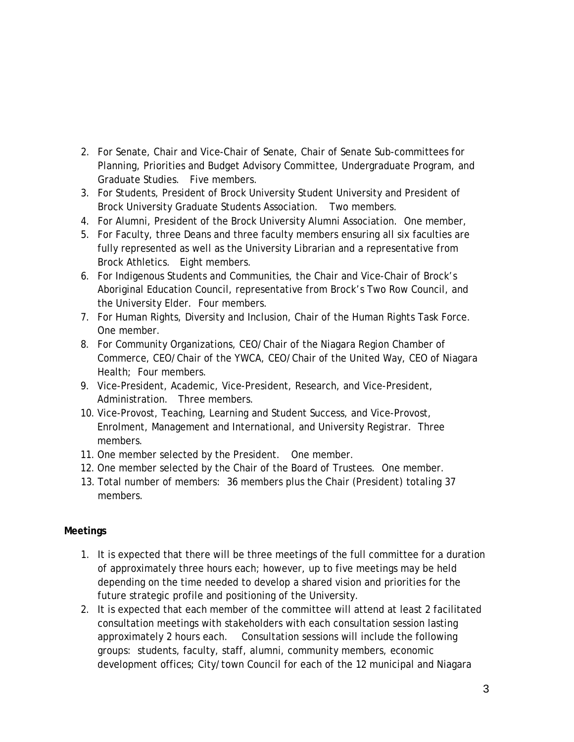- 2. For Senate, Chair and Vice-Chair of Senate, Chair of Senate Sub-committees for Planning, Priorities and Budget Advisory Committee, Undergraduate Program, and Graduate Studies. Five members.
- 3. For Students, President of Brock University Student University and President of Brock University Graduate Students Association. Two members.
- 4. For Alumni, President of the Brock University Alumni Association. One member,
- 5. For Faculty, three Deans and three faculty members ensuring all six faculties are fully represented as well as the University Librarian and a representative from Brock Athletics. Eight members.
- 6. For Indigenous Students and Communities, the Chair and Vice-Chair of Brock's Aboriginal Education Council, representative from Brock's Two Row Council, and the University Elder. Four members.
- 7. For Human Rights, Diversity and Inclusion, Chair of the Human Rights Task Force. One member.
- 8. For Community Organizations, CEO/Chair of the Niagara Region Chamber of Commerce, CEO/Chair of the YWCA, CEO/Chair of the United Way, CEO of Niagara Health; Four members.
- 9. Vice-President, Academic, Vice-President, Research, and Vice-President, Administration. Three members.
- 10. Vice-Provost, Teaching, Learning and Student Success, and Vice-Provost, Enrolment, Management and International, and University Registrar. Three members.
- 11. One member selected by the President. One member.
- 12. One member selected by the Chair of the Board of Trustees. One member.
- 13. Total number of members: 36 members plus the Chair (President) totaling 37 members.

#### **Meetings**

- 1. It is expected that there will be three meetings of the full committee for a duration of approximately three hours each; however, up to five meetings may be held depending on the time needed to develop a shared vision and priorities for the future strategic profile and positioning of the University.
- 2. It is expected that each member of the committee will attend at least 2 facilitated consultation meetings with stakeholders with each consultation session lasting approximately 2 hours each. Consultation sessions will include the following groups: students, faculty, staff, alumni, community members, economic development offices; City/town Council for each of the 12 municipal and Niagara